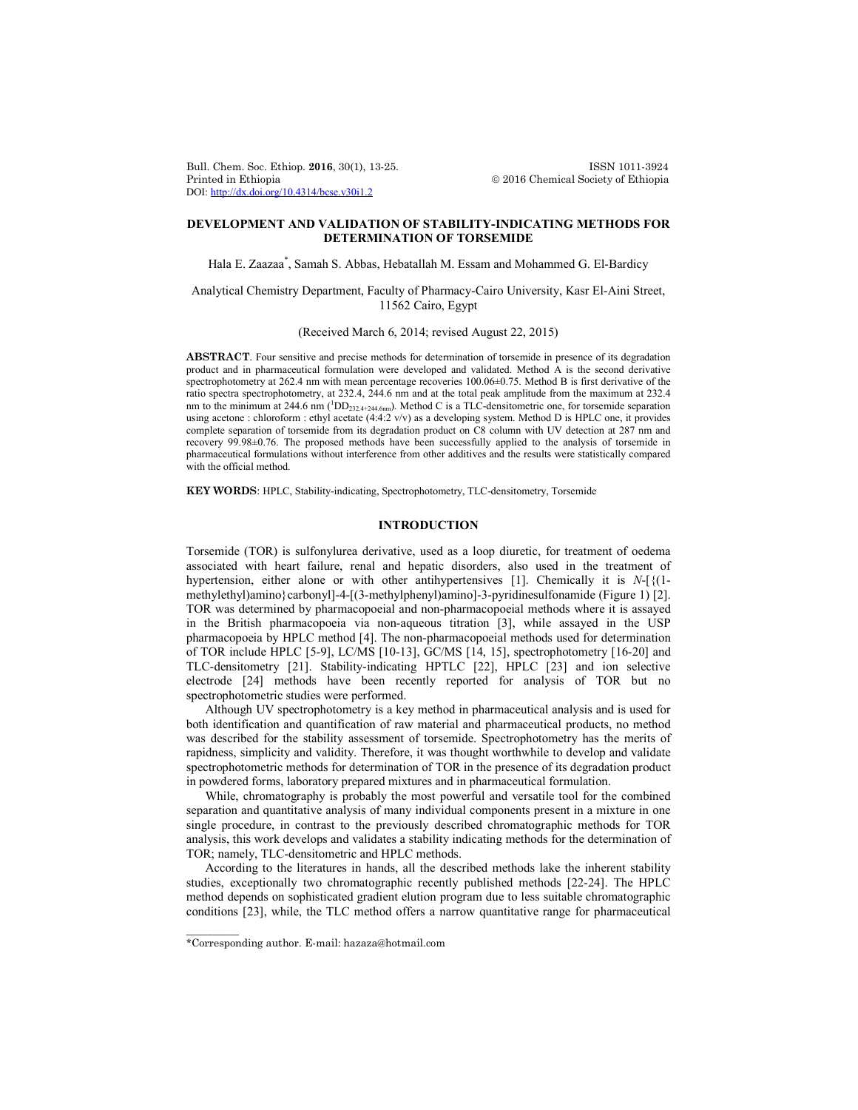Bull. Chem. Soc. Ethiop. **2016**, 30(1), 13-25. **ISSN 1011-3924**<br>Printed in Ethiopia **2016** Chemical Society of Ethiopia DOI: http://dx.doi.org/10.4314/bcse.v30i1.2

 $© 2016$  Chemical Society of Ethiopia

# **DEVELOPMENT AND VALIDATION OF STABILITY-INDICATING METHODS FOR DETERMINATION OF TORSEMIDE**

Hala E. Zaazaa\* , Samah S. Abbas, Hebatallah M. Essam and Mohammed G. El-Bardicy

## Analytical Chemistry Department, Faculty of Pharmacy-Cairo University, Kasr El-Aini Street, 11562 Cairo, Egypt

(Received March 6, 2014; revised August 22, 2015)

**ABSTRACT**. Four sensitive and precise methods for determination of torsemide in presence of its degradation product and in pharmaceutical formulation were developed and validated. Method A is the second derivative spectrophotometry at 262.4 nm with mean percentage recoveries 100.06±0.75. Method B is first derivative of the ratio spectra spectrophotometry, at 232.4, 244.6 nm and at the total peak amplitude from the maximum at 232.4 nm to the minimum at 244.6 nm (<sup>1</sup>DD<sub>232.4+244.6nm</sub>). Method C is a TLC-densitometric one, for torsemide separation using acetone : chloroform : ethyl acetate (4:4:2 v/v) as a developing system. Method D is HPLC one, it provides complete separation of torsemide from its degradation product on C8 column with UV detection at 287 nm and recovery 99.98±0.76. The proposed methods have been successfully applied to the analysis of torsemide in pharmaceutical formulations without interference from other additives and the results were statistically compared with the official method.

**KEY WORDS**: HPLC, Stability-indicating, Spectrophotometry, TLC-densitometry, Torsemide

## **INTRODUCTION**

Torsemide (TOR) is sulfonylurea derivative, used as a loop diuretic, for treatment of oedema associated with heart failure, renal and hepatic disorders, also used in the treatment of hypertension, either alone or with other antihypertensives [1]. Chemically it is *N*-[{(1 methylethyl)amino}carbonyl]-4-[(3-methylphenyl)amino]-3-pyridinesulfonamide (Figure 1) [2]. TOR was determined by pharmacopoeial and non-pharmacopoeial methods where it is assayed in the British pharmacopoeia via non-aqueous titration [3], while assayed in the USP pharmacopoeia by HPLC method [4]. The non-pharmacopoeial methods used for determination of TOR include HPLC [5-9], LC/MS [10-13], GC/MS [14, 15], spectrophotometry [16-20] and TLC-densitometry [21]. Stability-indicating HPTLC [22], HPLC [23] and ion selective electrode [24] methods have been recently reported for analysis of TOR but no spectrophotometric studies were performed.

Although UV spectrophotometry is a key method in pharmaceutical analysis and is used for both identification and quantification of raw material and pharmaceutical products, no method was described for the stability assessment of torsemide. Spectrophotometry has the merits of rapidness, simplicity and validity. Therefore, it was thought worthwhile to develop and validate spectrophotometric methods for determination of TOR in the presence of its degradation product in powdered forms, laboratory prepared mixtures and in pharmaceutical formulation.

While, chromatography is probably the most powerful and versatile tool for the combined separation and quantitative analysis of many individual components present in a mixture in one single procedure, in contrast to the previously described chromatographic methods for TOR analysis, this work develops and validates a stability indicating methods for the determination of TOR; namely, TLC-densitometric and HPLC methods.

According to the literatures in hands, all the described methods lake the inherent stability studies, exceptionally two chromatographic recently published methods [22-24]. The HPLC method depends on sophisticated gradient elution program due to less suitable chromatographic conditions [23], while, the TLC method offers a narrow quantitative range for pharmaceutical

 $\overline{\phantom{a}}$ 

<sup>\*</sup>Corresponding author. E-mail: hazaza@hotmail.com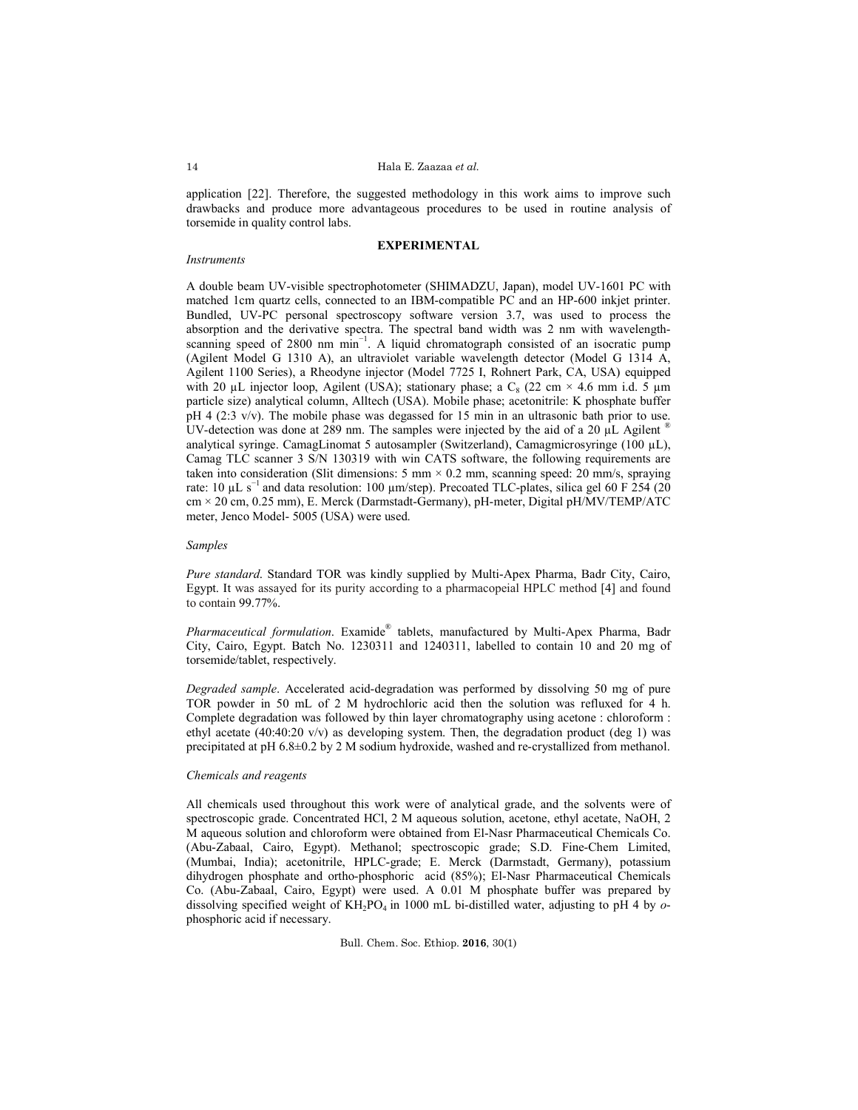application [22]. Therefore, the suggested methodology in this work aims to improve such drawbacks and produce more advantageous procedures to be used in routine analysis of torsemide in quality control labs.

### **EXPERIMENTAL**

#### *Instruments*

A double beam UV-visible spectrophotometer (SHIMADZU, Japan), model UV-1601 PC with matched 1cm quartz cells, connected to an IBM-compatible PC and an HP-600 inkjet printer. Bundled, UV-PC personal spectroscopy software version 3.7, was used to process the absorption and the derivative spectra. The spectral band width was 2 nm with wavelengthscanning speed of 2800 nm min<sup>-1</sup>. A liquid chromatograph consisted of an isocratic pump (Agilent Model G 1310 A), an ultraviolet variable wavelength detector (Model G 1314 A, Agilent 1100 Series), a Rheodyne injector (Model 7725 I, Rohnert Park, CA, USA) equipped with 20 µL injector loop, Agilent (USA); stationary phase; a  $C_8$  (22 cm  $\times$  4.6 mm i.d. 5 µm particle size) analytical column, Alltech (USA). Mobile phase; acetonitrile: K phosphate buffer  $pH$  4 (2:3 v/v). The mobile phase was degassed for 15 min in an ultrasonic bath prior to use. UV-detection was done at 289 nm. The samples were injected by the aid of a 20  $\mu$ L Agilent <sup>®</sup> analytical syringe. CamagLinomat 5 autosampler (Switzerland), Camagmicrosyringe (100 µL), Camag TLC scanner 3 S/N 130319 with win CATS software, the following requirements are taken into consideration (Slit dimensions:  $5 \text{ mm} \times 0.2 \text{ mm}$ , scanning speed:  $20 \text{ mm/s}$ , spraying rate: 10 µL s<sup>-1</sup> and data resolution: 100 µm/step). Precoated TLC-plates, silica gel 60 F 254 (20 cm × 20 cm, 0.25 mm), E. Merck (Darmstadt-Germany), pH-meter, Digital pH/MV/TEMP/ATC meter, Jenco Model- 5005 (USA) were used.

### *Samples*

*Pure standard*. Standard TOR was kindly supplied by Multi-Apex Pharma, Badr City, Cairo, Egypt. It was assayed for its purity according to a pharmacopeial HPLC method [4] and found to contain 99.77%.

*Pharmaceutical formulation*. Examide® tablets, manufactured by Multi-Apex Pharma, Badr City, Cairo, Egypt. Batch No. 1230311 and 1240311, labelled to contain 10 and 20 mg of torsemide/tablet, respectively.

*Degraded sample*. Accelerated acid-degradation was performed by dissolving 50 mg of pure TOR powder in 50 mL of 2 M hydrochloric acid then the solution was refluxed for 4 h. Complete degradation was followed by thin layer chromatography using acetone : chloroform : ethyl acetate (40:40:20 v/v) as developing system. Then, the degradation product (deg 1) was precipitated at pH 6.8±0.2 by 2 M sodium hydroxide, washed and re-crystallized from methanol.

### *Chemicals and reagents*

All chemicals used throughout this work were of analytical grade, and the solvents were of spectroscopic grade. Concentrated HCl, 2 M aqueous solution, acetone, ethyl acetate, NaOH, 2 M aqueous solution and chloroform were obtained from El-Nasr Pharmaceutical Chemicals Co. (Abu-Zabaal, Cairo, Egypt). Methanol; spectroscopic grade; S.D. Fine-Chem Limited, (Mumbai, India); acetonitrile, HPLC-grade; E. Merck (Darmstadt, Germany), potassium dihydrogen phosphate and ortho-phosphoric acid (85%); El-Nasr Pharmaceutical Chemicals Co. (Abu-Zabaal, Cairo, Egypt) were used. A 0.01 M phosphate buffer was prepared by dissolving specified weight of KH2PO4 in 1000 mL bi-distilled water, adjusting to pH 4 by *o*phosphoric acid if necessary.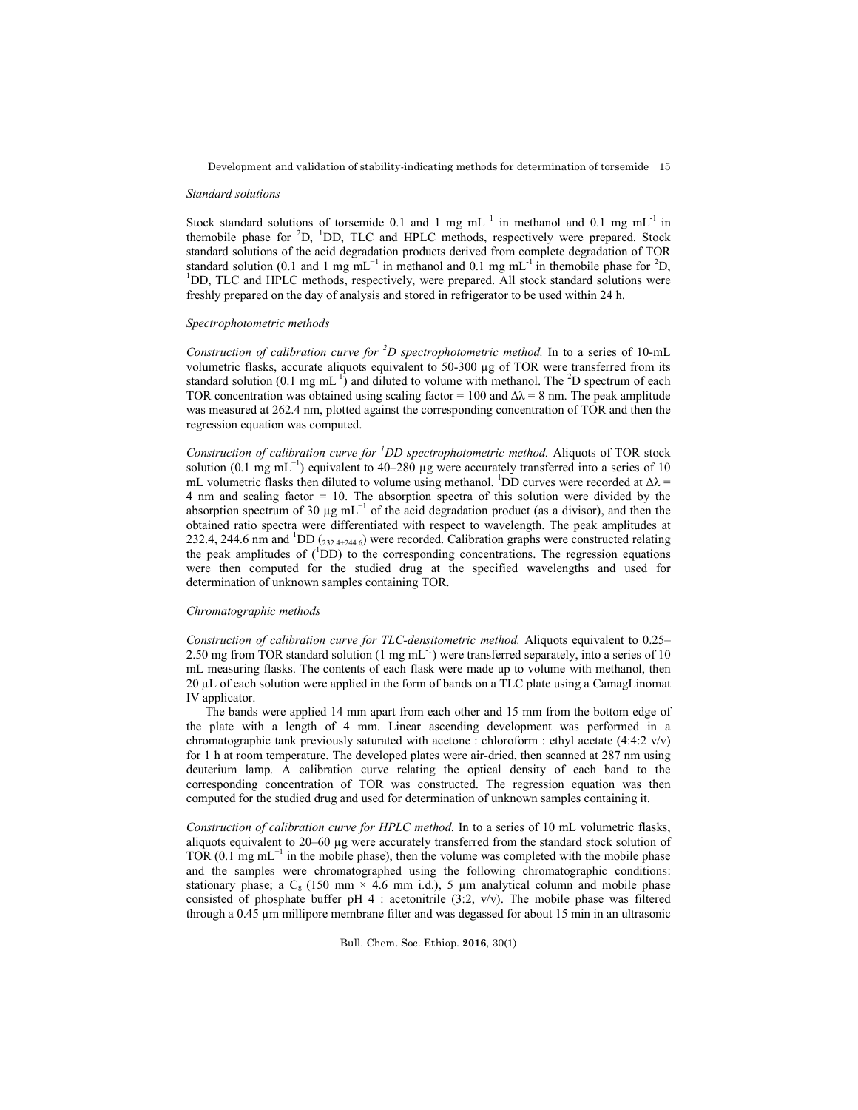Development and validation of stability-indicating methods for determination of torsemide 15

#### *Standard solutions*

Stock standard solutions of torsemide 0.1 and 1 mg mL<sup>-1</sup> in methanol and 0.1 mg mL<sup>-1</sup> in themobile phase for <sup>2</sup>D, <sup>1</sup>DD, TLC and HPLC methods, respectively were prepared. Stock standard solutions of the acid degradation products derived from complete degradation of TOR standard solution (0.1 and 1 mg mL<sup>-1</sup> in methanol and 0.1 mg mL<sup>-1</sup> in themobile phase for <sup>2</sup>D,<br><sup>1</sup>DD, TLC and HDLC methods, respectively, were prepared. All stock standard solutions were <sup>1</sup>DD, TLC and HPLC methods, respectively, were prepared. All stock standard solutions were freshly prepared on the day of analysis and stored in refrigerator to be used within 24 h.

## *Spectrophotometric methods*

*Construction of calibration curve for <sup>2</sup> D spectrophotometric method.* In to a series of 10-mL volumetric flasks, accurate aliquots equivalent to  $50-300 \mu g$  of TOR were transferred from its standard solution (0.1 mg mL<sup>-1</sup>) and diluted to volume with methanol. The <sup>2</sup>D spectrum of each TOR concentration was obtained using scaling factor = 100 and  $\Delta\lambda$  = 8 nm. The peak amplitude was measured at 262.4 nm, plotted against the corresponding concentration of TOR and then the regression equation was computed.

*Construction of calibration curve for <sup>1</sup> DD spectrophotometric method.* Aliquots of TOR stock solution (0.1 mg mL<sup>-1</sup>) equivalent to 40–280 µg were accurately transferred into a series of 10 mL volumetric flasks then diluted to volume using methanol. <sup>1</sup>DD curves were recorded at  $\Delta \lambda$  = 4 nm and scaling factor = 10. The absorption spectra of this solution were divided by the absorption spectrum of 30  $\mu$ g mL<sup>-1</sup> of the acid degradation product (as a divisor), and then the obtained ratio spectra were differentiated with respect to wavelength. The peak amplitudes at 232.4, 244.6 nm and  ${}^{1}$ DD ( $_{232.4+244.6}$ ) were recorded. Calibration graphs were constructed relating the peak amplitudes of  $(^1DD)$  to the corresponding concentrations. The regression equations were then computed for the studied drug at the specified wavelengths and used for determination of unknown samples containing TOR.

### *Chromatographic methods*

*Construction of calibration curve for TLC-densitometric method.* Aliquots equivalent to 0.25– 2.50 mg from TOR standard solution  $(1 \text{ mg mL}^{-1})$  were transferred separately, into a series of 10 mL measuring flasks. The contents of each flask were made up to volume with methanol, then 20 µL of each solution were applied in the form of bands on a TLC plate using a CamagLinomat IV applicator.

The bands were applied 14 mm apart from each other and 15 mm from the bottom edge of the plate with a length of 4 mm. Linear ascending development was performed in a chromatographic tank previously saturated with acetone : chloroform : ethyl acetate (4:4:2 v/v) for 1 h at room temperature. The developed plates were air-dried, then scanned at 287 nm using deuterium lamp. A calibration curve relating the optical density of each band to the corresponding concentration of TOR was constructed. The regression equation was then computed for the studied drug and used for determination of unknown samples containing it.

*Construction of calibration curve for HPLC method.* In to a series of 10 mL volumetric flasks, aliquots equivalent to 20–60 µg were accurately transferred from the standard stock solution of TOR (0.1 mg mL<sup> $-1$ </sup> in the mobile phase), then the volume was completed with the mobile phase and the samples were chromatographed using the following chromatographic conditions: stationary phase; a  $C_8$  (150 mm  $\times$  4.6 mm i.d.), 5 µm analytical column and mobile phase consisted of phosphate buffer pH  $4$  : acetonitrile (3:2, v/v). The mobile phase was filtered through a 0.45 µm millipore membrane filter and was degassed for about 15 min in an ultrasonic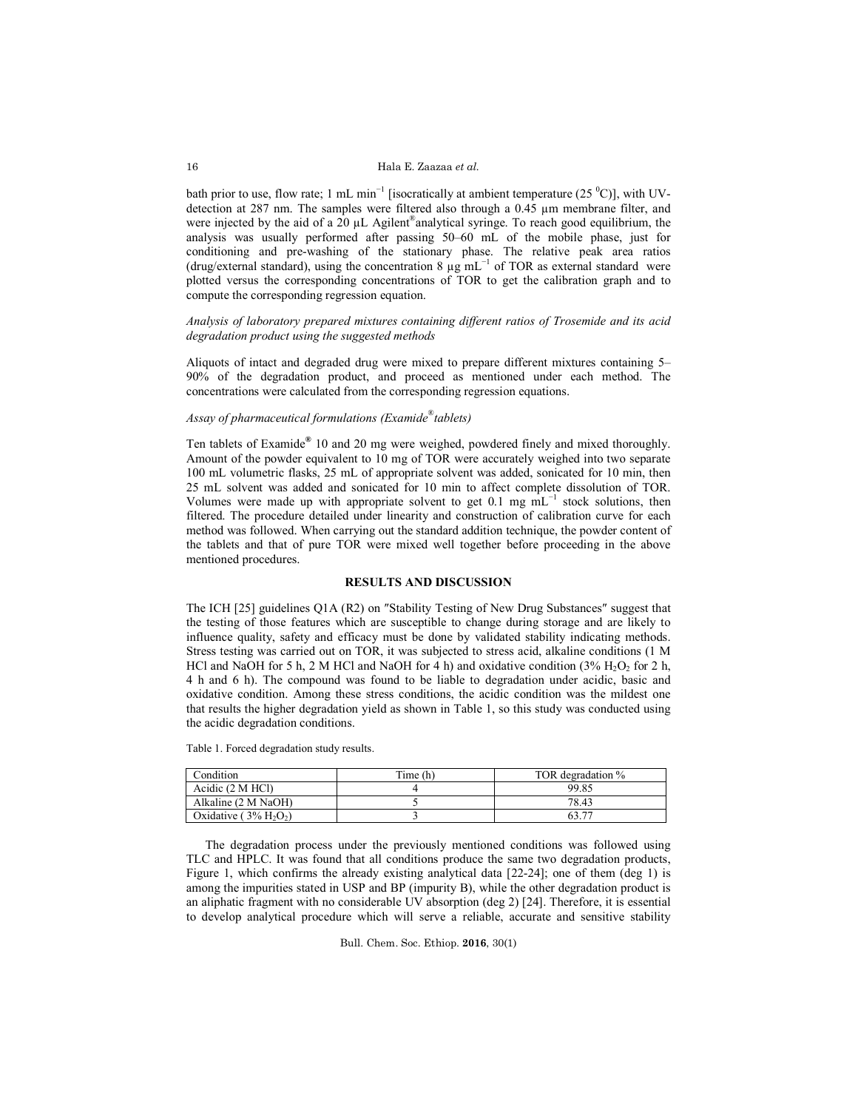bath prior to use, flow rate; 1 mL min<sup>-1</sup> [isocratically at ambient temperature (25  $^{\circ}$ C)], with UVdetection at 287 nm. The samples were filtered also through a  $0.45 \mu m$  membrane filter, and were injected by the aid of a  $20 \mu L$  Agilent®analytical syringe. To reach good equilibrium, the analysis was usually performed after passing 50–60 mL of the mobile phase, just for conditioning and pre-washing of the stationary phase. The relative peak area ratios (drug/external standard), using the concentration 8  $\mu$ g mL<sup>-1</sup> of TOR as external standard were plotted versus the corresponding concentrations of TOR to get the calibration graph and to compute the corresponding regression equation.

*Analysis of laboratory prepared mixtures containing different ratios of Trosemide and its acid degradation product using the suggested methods*

Aliquots of intact and degraded drug were mixed to prepare different mixtures containing 5– 90% of the degradation product, and proceed as mentioned under each method. The concentrations were calculated from the corresponding regression equations.

# *Assay of pharmaceutical formulations (Examide*® *tablets)*

Ten tablets of Examide**®** 10 and 20 mg were weighed, powdered finely and mixed thoroughly. Amount of the powder equivalent to 10 mg of TOR were accurately weighed into two separate 100 mL volumetric flasks, 25 mL of appropriate solvent was added, sonicated for 10 min, then 25 mL solvent was added and sonicated for 10 min to affect complete dissolution of TOR. Volumes were made up with appropriate solvent to get 0.1 mg  $mL^{-1}$  stock solutions, then filtered. The procedure detailed under linearity and construction of calibration curve for each method was followed. When carrying out the standard addition technique, the powder content of the tablets and that of pure TOR were mixed well together before proceeding in the above mentioned procedures.

## **RESULTS AND DISCUSSION**

The ICH [25] guidelines Q1A (R2) on ″Stability Testing of New Drug Substances″ suggest that the testing of those features which are susceptible to change during storage and are likely to influence quality, safety and efficacy must be done by validated stability indicating methods. Stress testing was carried out on TOR, it was subjected to stress acid, alkaline conditions (1 M HCl and NaOH for 5 h, 2 M HCl and NaOH for 4 h) and oxidative condition  $(3\% H<sub>2</sub>O<sub>2</sub>$  for 2 h, 4 h and 6 h). The compound was found to be liable to degradation under acidic, basic and oxidative condition. Among these stress conditions, the acidic condition was the mildest one that results the higher degradation yield as shown in Table 1, so this study was conducted using the acidic degradation conditions.

Table 1. Forced degradation study results.

| Condition                      | Time (h) | TOR degradation % |
|--------------------------------|----------|-------------------|
| Acidic (2 M HCl)               |          | 99.85             |
| Alkaline (2 M NaOH)            |          | 78.43             |
| Oxidative $(3\% \text{ H}2O2)$ |          |                   |

The degradation process under the previously mentioned conditions was followed using TLC and HPLC. It was found that all conditions produce the same two degradation products, Figure 1, which confirms the already existing analytical data [22-24]; one of them (deg 1) is among the impurities stated in USP and BP (impurity B), while the other degradation product is an aliphatic fragment with no considerable UV absorption (deg 2) [24]. Therefore, it is essential to develop analytical procedure which will serve a reliable, accurate and sensitive stability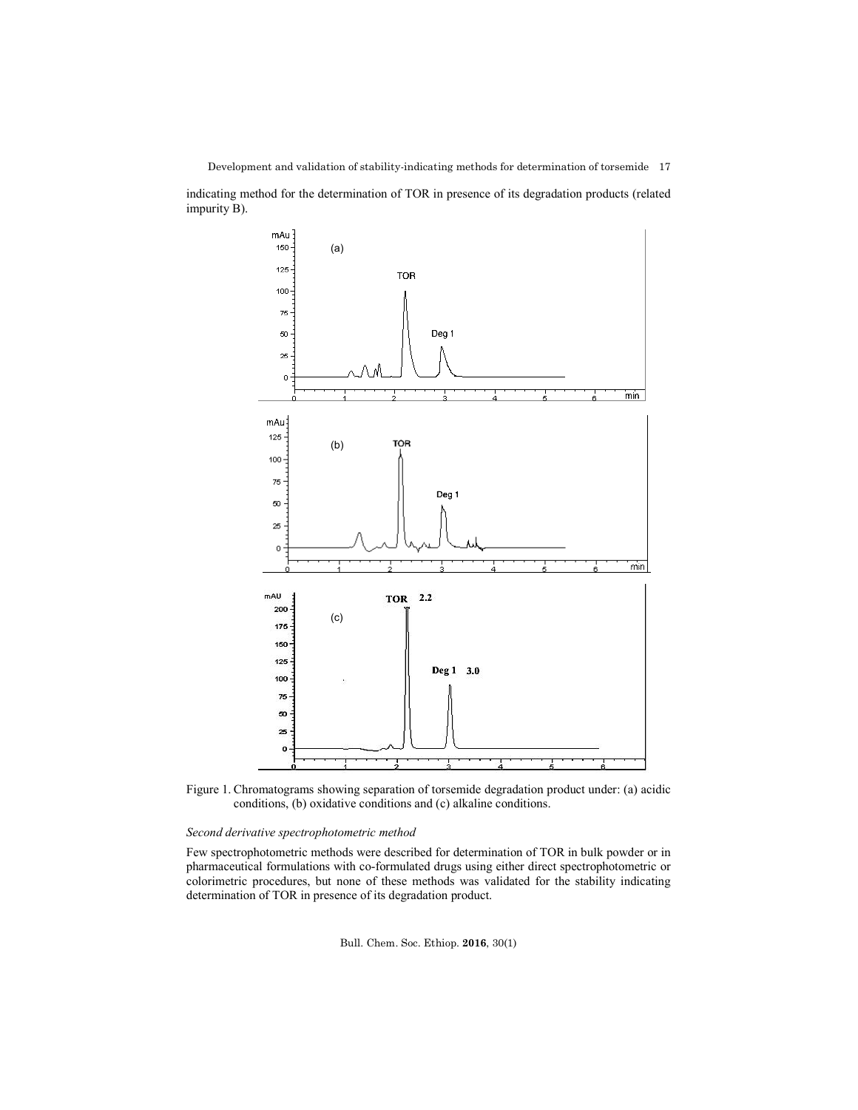indicating method for the determination of TOR in presence of its degradation products (related impurity B).



Figure 1. Chromatograms showing separation of torsemide degradation product under: (a) acidic conditions, (b) oxidative conditions and (c) alkaline conditions.

# *Second derivative spectrophotometric method*

Few spectrophotometric methods were described for determination of TOR in bulk powder or in pharmaceutical formulations with co-formulated drugs using either direct spectrophotometric or colorimetric procedures, but none of these methods was validated for the stability indicating determination of TOR in presence of its degradation product.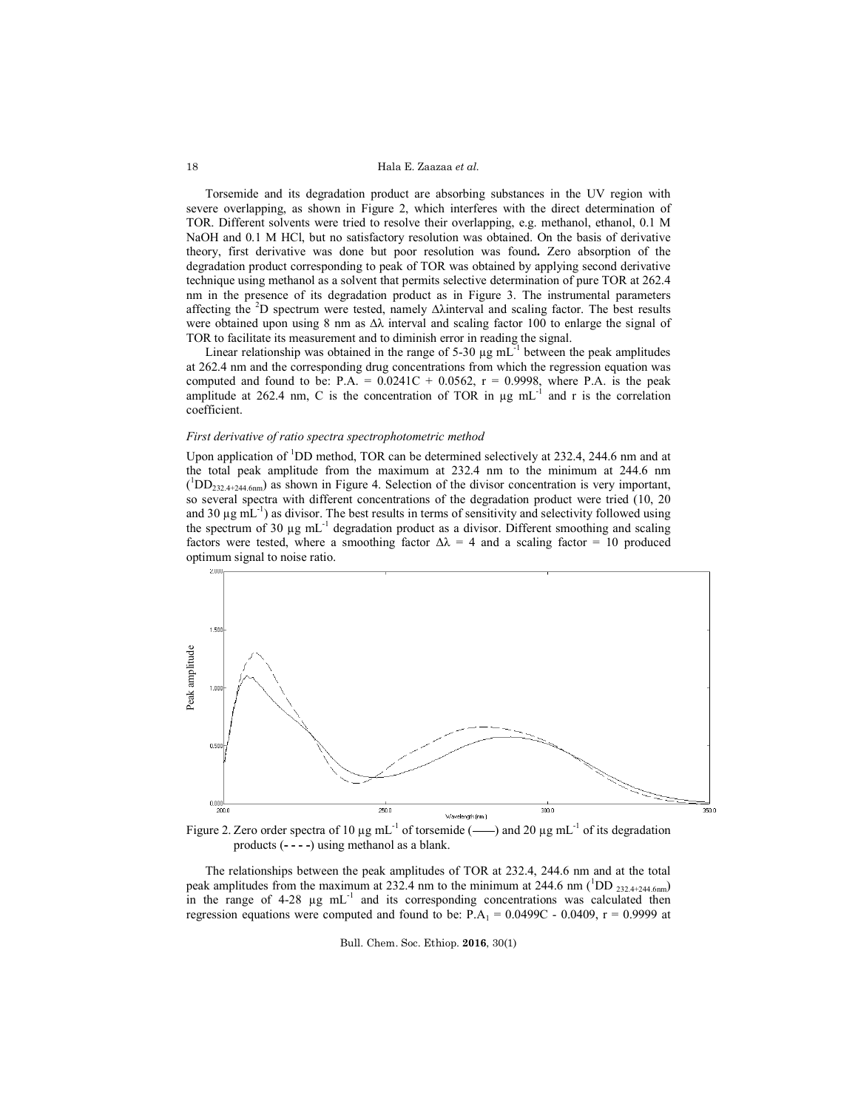### Hala E. Zaazaa *et al.*

Torsemide and its degradation product are absorbing substances in the UV region with severe overlapping, as shown in Figure 2, which interferes with the direct determination of TOR. Different solvents were tried to resolve their overlapping, e.g. methanol, ethanol, 0.1 M NaOH and 0.1 M HCl, but no satisfactory resolution was obtained. On the basis of derivative theory, first derivative was done but poor resolution was found**.** Zero absorption of the degradation product corresponding to peak of TOR was obtained by applying second derivative technique using methanol as a solvent that permits selective determination of pure TOR at 262.4 nm in the presence of its degradation product as in Figure 3. The instrumental parameters affecting the <sup>2</sup> D spectrum were tested, namely ∆λinterval and scaling factor. The best results were obtained upon using 8 nm as ∆λ interval and scaling factor 100 to enlarge the signal of TOR to facilitate its measurement and to diminish error in reading the signal.

Linear relationship was obtained in the range of 5-30  $\mu$ g mL<sup>-1</sup> between the peak amplitudes at 262.4 nm and the corresponding drug concentrations from which the regression equation was computed and found to be:  $P.A. = 0.0241C + 0.0562$ ,  $r = 0.9998$ , where P.A. is the peak amplitude at 262.4 nm, C is the concentration of TOR in  $\mu$ g mL<sup>-1</sup> and r is the correlation coefficient.

### *First derivative of ratio spectra spectrophotometric method*

Upon application of <sup>1</sup>DD method, TOR can be determined selectively at 232.4, 244.6 nm and at the total peak amplitude from the maximum at 232.4 nm to the minimum at 244.6 nm  $({^{1}DD_{232.4+244.6nm}})$  as shown in Figure 4. Selection of the divisor concentration is very important, so several spectra with different concentrations of the degradation product were tried (10, 20 and 30  $\mu$ g mL<sup>-1</sup>) as divisor. The best results in terms of sensitivity and selectivity followed using the spectrum of 30  $\mu$ g mL<sup>-1</sup> degradation product as a divisor. Different smoothing and scaling factors were tested, where a smoothing factor  $\Delta \lambda = 4$  and a scaling factor = 10 produced optimum signal to noise ratio.



Figure 2. Zero order spectra of 10  $\mu$ g mL<sup>-1</sup> of torsemide (--) and 20  $\mu$ g mL<sup>-1</sup> of its degradation products (**- - - -**) using methanol as a blank.

The relationships between the peak amplitudes of TOR at 232.4, 244.6 nm and at the total peak amplitudes from the maximum at 232.4 nm to the minimum at 244.6 nm ( ${}^{1}$ DD <sub>232.4+244.6nm</sub>) in the range of 4-28 µg mL<sup>-1</sup> and its corresponding concentrations was calculated then regression equations were computed and found to be:  $P.A_1 = 0.0499C - 0.0409$ ,  $r = 0.9999$  at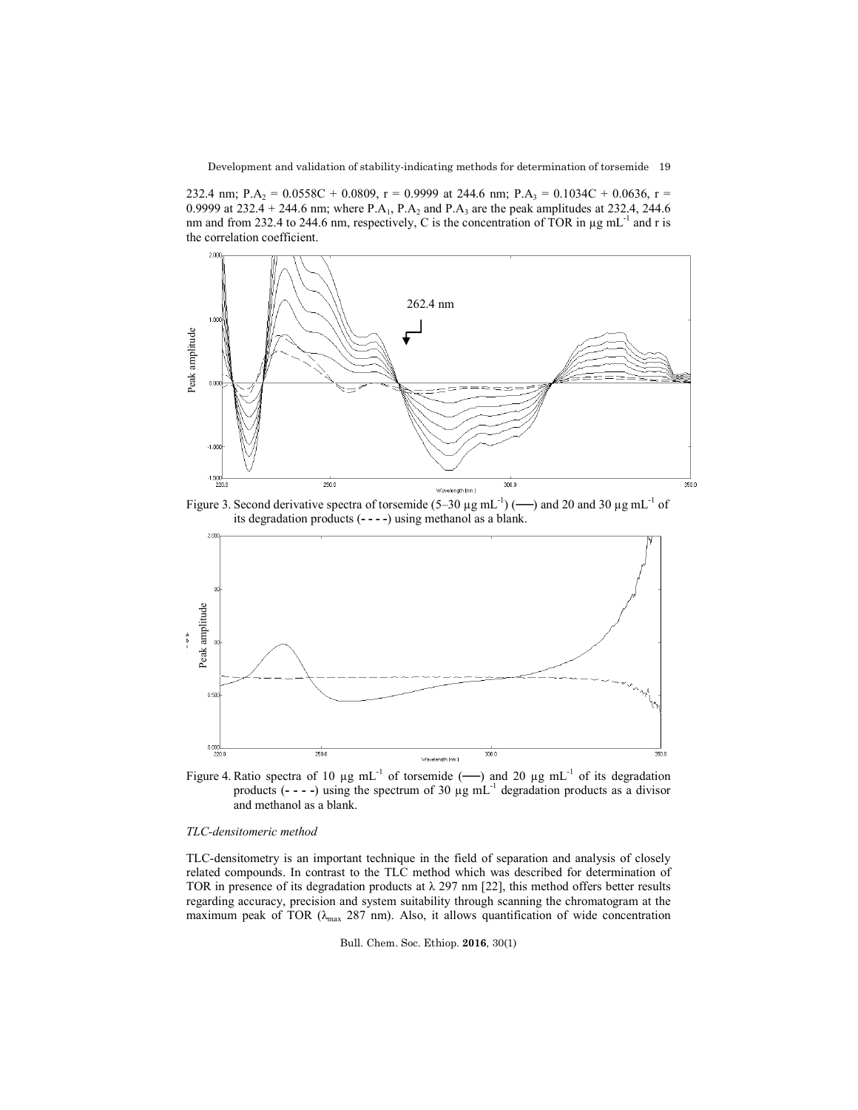Development and validation of stability-indicating methods for determination of torsemide 19

232.4 nm; P.A<sub>2</sub> = 0.0558C + 0.0809, r = 0.9999 at 244.6 nm; P.A<sub>3</sub> = 0.1034C + 0.0636, r = 0.9999 at 232.4 + 244.6 nm; where P.A<sub>1</sub>, P.A<sub>2</sub> and P.A<sub>3</sub> are the peak amplitudes at 232.4, 244.6 nm and from 232.4 to 244.6 nm, respectively, C is the concentration of TOR in  $\mu$ g mL<sup>-1</sup> and r is the correlation coefficient.



Figure 3. Second derivative spectra of torsemide  $(5-30 \mu g \text{ mL}^{-1})$  ( $\rightarrow$ ) and 20 and 30  $\mu g \text{ mL}^{-1}$  of its degradation products (**- - - -**) using methanol as a blank.



Figure 4. Ratio spectra of 10 µg mL-1 of torsemide (**──**) and 20 µg mL-1 of its degradation products  $(- - -)$  using the spectrum of 30  $\mu$ g mL<sup>-1</sup> degradation products as a divisor and methanol as a blank.

### *TLC-densitomeric method*

TLC-densitometry is an important technique in the field of separation and analysis of closely related compounds. In contrast to the TLC method which was described for determination of TOR in presence of its degradation products at  $\lambda$  297 nm [22], this method offers better results regarding accuracy, precision and system suitability through scanning the chromatogram at the maximum peak of TOR ( $\lambda_{\text{max}}$  287 nm). Also, it allows quantification of wide concentration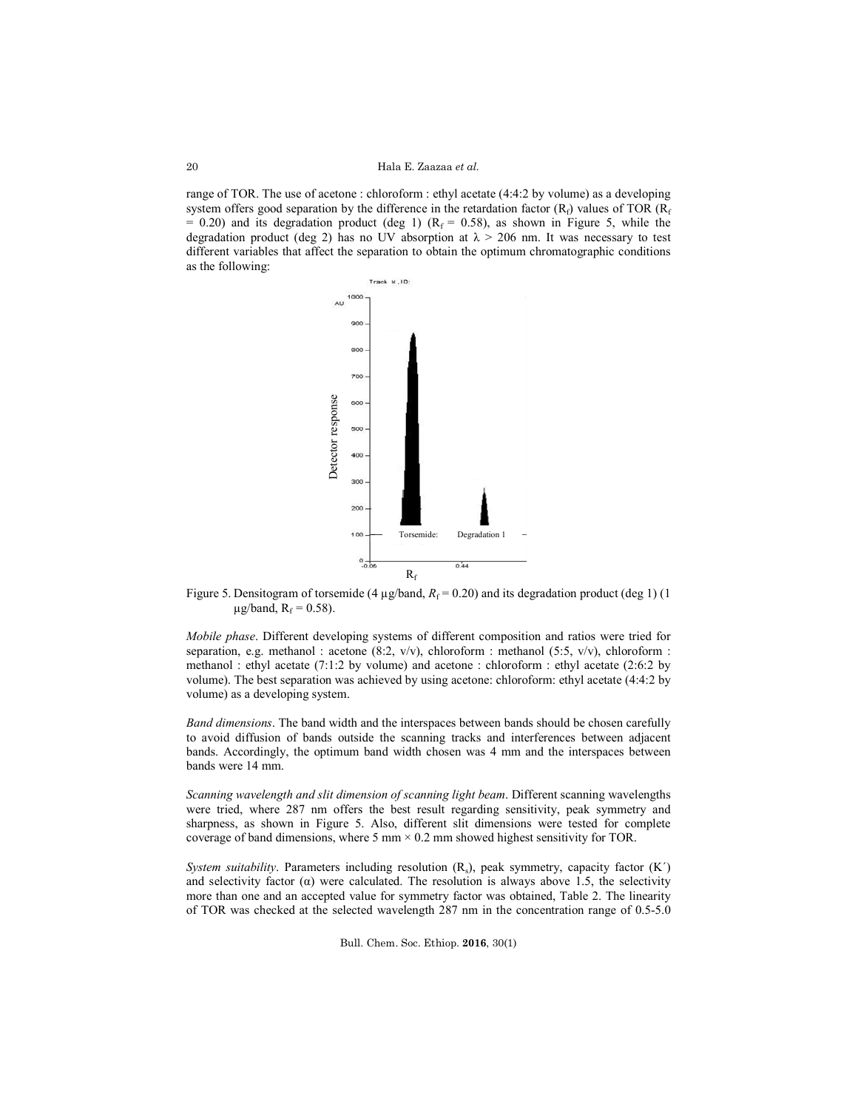Hala E. Zaazaa *et al.*

range of TOR. The use of acetone : chloroform : ethyl acetate (4:4:2 by volume) as a developing system offers good separation by the difference in the retardation factor  $(R_f)$  values of TOR  $(R_f)$  $= 0.20$ ) and its degradation product (deg 1) (R<sub>f</sub> = 0.58), as shown in Figure 5, while the degradation product (deg 2) has no UV absorption at  $\lambda > 206$  nm. It was necessary to test different variables that affect the separation to obtain the optimum chromatographic conditions as the following:



Figure 5. Densitogram of torsemide (4  $\mu$ g/band,  $R_f$  = 0.20) and its degradation product (deg 1) (1)  $\mu$ g/band, R<sub>f</sub> = 0.58).

*Mobile phase*. Different developing systems of different composition and ratios were tried for separation, e.g. methanol : acetone (8:2,  $v/v$ ), chloroform : methanol (5:5,  $v/v$ ), chloroform : methanol : ethyl acetate (7:1:2 by volume) and acetone : chloroform : ethyl acetate (2:6:2 by volume). The best separation was achieved by using acetone: chloroform: ethyl acetate (4:4:2 by volume) as a developing system.

*Band dimensions*. The band width and the interspaces between bands should be chosen carefully to avoid diffusion of bands outside the scanning tracks and interferences between adjacent bands. Accordingly, the optimum band width chosen was 4 mm and the interspaces between bands were 14 mm.

*Scanning wavelength and slit dimension of scanning light beam*. Different scanning wavelengths were tried, where 287 nm offers the best result regarding sensitivity, peak symmetry and sharpness, as shown in Figure 5. Also, different slit dimensions were tested for complete coverage of band dimensions, where 5 mm  $\times$  0.2 mm showed highest sensitivity for TOR.

*System suitability*. Parameters including resolution (R<sub>s</sub>), peak symmetry, capacity factor (K<sup>'</sup>) and selectivity factor  $(\alpha)$  were calculated. The resolution is always above 1.5, the selectivity more than one and an accepted value for symmetry factor was obtained, Table 2. The linearity of TOR was checked at the selected wavelength 287 nm in the concentration range of 0.5-5.0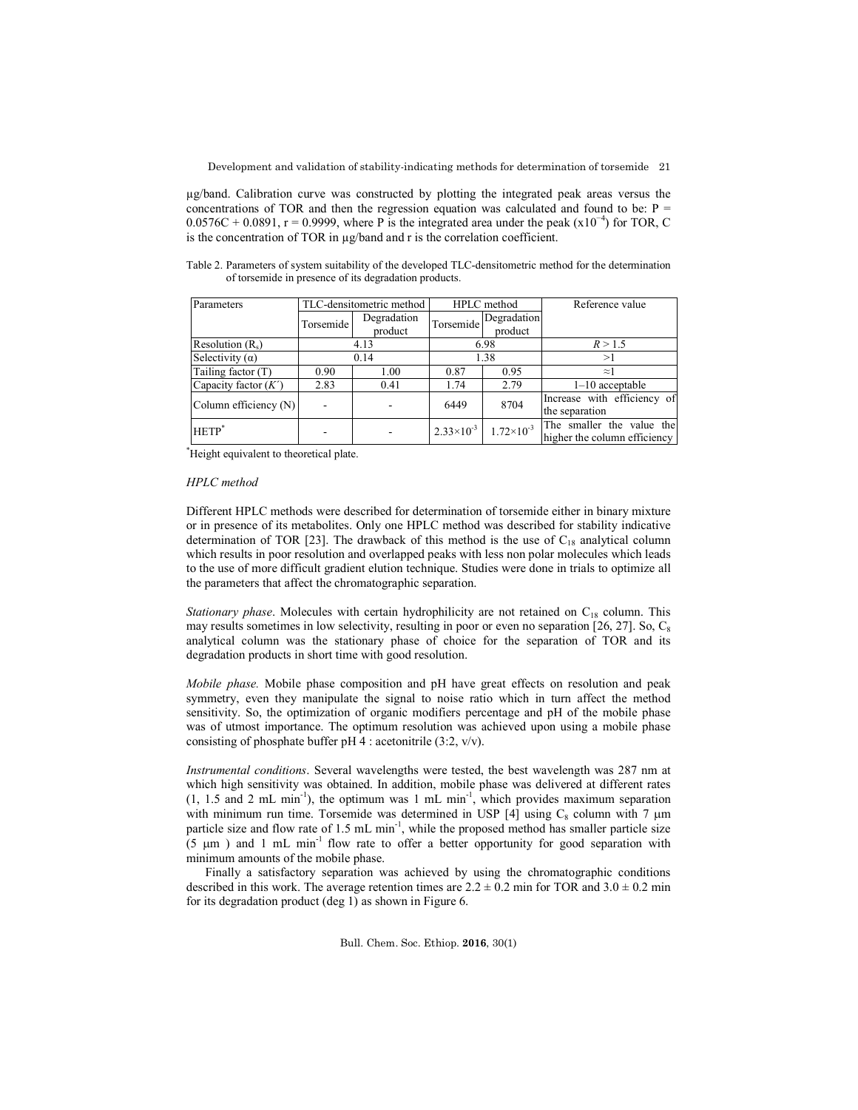µg/band. Calibration curve was constructed by plotting the integrated peak areas versus the concentrations of TOR and then the regression equation was calculated and found to be:  $P =$ 0.0576C + 0.0891, r = 0.9999, where P is the integrated area under the peak (x10<sup>-4</sup>) for TOR, C is the concentration of TOR in µg/band and r is the correlation coefficient.

Table 2. Parameters of system suitability of the developed TLC-densitometric method for the determination of torsemide in presence of its degradation products.

| Parameters             | TLC-densitometric method |                        |                     | HPLC method                               | Reference value                                           |
|------------------------|--------------------------|------------------------|---------------------|-------------------------------------------|-----------------------------------------------------------|
|                        | Torsemide                | Degradation<br>product |                     | <i>I</i> Torsemide Degradation<br>product |                                                           |
| Resolution $(R_s)$     | 4.13                     |                        | 6.98                |                                           | R > 1.5                                                   |
| Selectivity $(\alpha)$ |                          | 0.14                   | 1.38                |                                           | >1                                                        |
| Tailing factor $(T)$   | 0.90                     | 1.00                   | 0.87                | 0.95                                      | $\approx$ 1                                               |
| Capacity factor $(K')$ | 2.83                     | 0.41                   | 1.74                | 2.79                                      | $1-10$ acceptable                                         |
| Column efficiency (N)  |                          |                        | 6449                | 8704                                      | Increase with efficiency of<br>the separation             |
| $HETP^*$               |                          |                        | $2.33\times10^{-3}$ | $1.72\times10^{-3}$                       | The smaller the value the<br>higher the column efficiency |

\* Height equivalent to theoretical plate.

## *HPLC method*

Different HPLC methods were described for determination of torsemide either in binary mixture or in presence of its metabolites. Only one HPLC method was described for stability indicative determination of TOR [23]. The drawback of this method is the use of  $C_{18}$  analytical column which results in poor resolution and overlapped peaks with less non polar molecules which leads to the use of more difficult gradient elution technique. Studies were done in trials to optimize all the parameters that affect the chromatographic separation.

*Stationary phase*. Molecules with certain hydrophilicity are not retained on C<sub>18</sub> column. This may results sometimes in low selectivity, resulting in poor or even no separation [26, 27]. So,  $C_8$ analytical column was the stationary phase of choice for the separation of TOR and its degradation products in short time with good resolution.

*Mobile phase.* Mobile phase composition and pH have great effects on resolution and peak symmetry, even they manipulate the signal to noise ratio which in turn affect the method sensitivity. So, the optimization of organic modifiers percentage and pH of the mobile phase was of utmost importance. The optimum resolution was achieved upon using a mobile phase consisting of phosphate buffer pH 4 : acetonitrile (3:2, v/v).

*Instrumental conditions*. Several wavelengths were tested, the best wavelength was 287 nm at which high sensitivity was obtained. In addition, mobile phase was delivered at different rates  $(1, 1.5 \text{ and } 2 \text{ mL min}^{-1})$ , the optimum was 1 mL min<sup>-1</sup>, which provides maximum separation with minimum run time. Torsemide was determined in USP [4] using  $C_8$  column with 7  $\mu$ m particle size and flow rate of 1.5 mL min<sup>-1</sup>, while the proposed method has smaller particle size  $(5 \mu m)$  and 1 mL min<sup>-1</sup> flow rate to offer a better opportunity for good separation with minimum amounts of the mobile phase.

Finally a satisfactory separation was achieved by using the chromatographic conditions described in this work. The average retention times are  $2.2 \pm 0.2$  min for TOR and  $3.0 \pm 0.2$  min for its degradation product (deg 1) as shown in Figure 6.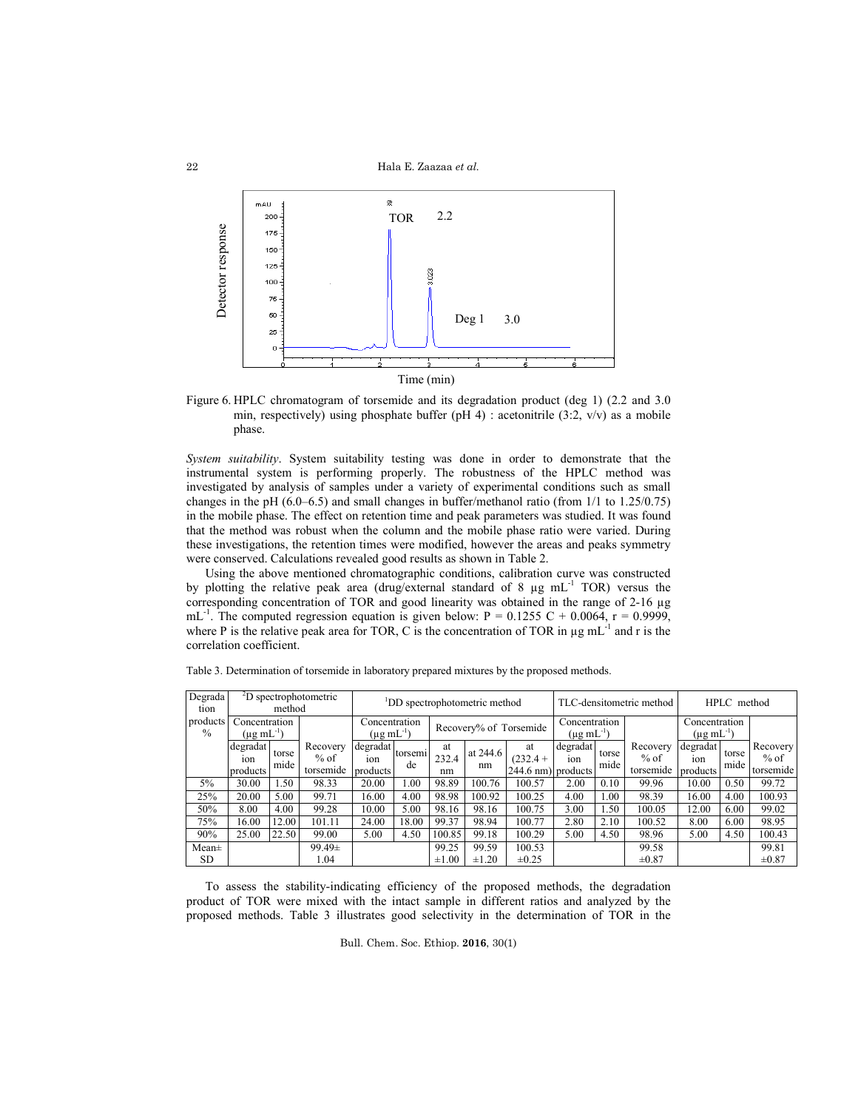

Figure 6. HPLC chromatogram of torsemide and its degradation product (deg 1) (2.2 and 3.0 min, respectively) using phosphate buffer (pH 4) : acetonitrile  $(3:2, v/v)$  as a mobile phase.

*System suitability*. System suitability testing was done in order to demonstrate that the instrumental system is performing properly. The robustness of the HPLC method was investigated by analysis of samples under a variety of experimental conditions such as small changes in the pH (6.0–6.5) and small changes in buffer/methanol ratio (from 1/1 to 1.25/0.75) in the mobile phase. The effect on retention time and peak parameters was studied. It was found that the method was robust when the column and the mobile phase ratio were varied. During these investigations, the retention times were modified, however the areas and peaks symmetry were conserved. Calculations revealed good results as shown in Table 2.

Using the above mentioned chromatographic conditions, calibration curve was constructed by plotting the relative peak area (drug/external standard of 8  $\mu$ g mL<sup>-1</sup> TOR) versus the corresponding concentration of TOR and good linearity was obtained in the range of 2-16 µg mL<sup>-1</sup>. The computed regression equation is given below:  $P = 0.1255 C + 0.0064$ ,  $r = 0.9999$ , where P is the relative peak area for TOR, C is the concentration of TOR in  $\mu$ g mL $^{-1}$  and r is the correlation coefficient.

| Degrada<br>tion           |                                         | method        | <sup>2</sup> D spectrophotometric | <sup>1</sup> DD spectrophotometric method |               |                        |                | TLC-densitometric method               |                 |                                            | HPLC method                     |                             |               |                                 |
|---------------------------|-----------------------------------------|---------------|-----------------------------------|-------------------------------------------|---------------|------------------------|----------------|----------------------------------------|-----------------|--------------------------------------------|---------------------------------|-----------------------------|---------------|---------------------------------|
| products<br>$\frac{0}{0}$ | Concentration<br>$(\mu$ g m $L^{-1}$ )  |               |                                   | Concentration<br>$(\mu g \, mL^{-1})$     |               | Recovery% of Torsemide |                | Concentration<br>$(\mu g \, mL^{-1})$  |                 | Concentration<br>$(\mu g \text{ mL}^{-1})$ |                                 |                             |               |                                 |
|                           | degradat<br>10 <sub>n</sub><br>products | torse<br>mide | Recovery<br>$%$ of<br>torsemide   | degradat<br>10n<br>products               | torsemi<br>de | at<br>232.4<br>nm      | at 244.6<br>nm | at<br>$(232.4 +$<br>244.6 nm) products | degradat<br>10n | torse<br>mide                              | Recovery<br>$%$ of<br>torsemide | degradat<br>10n<br>products | torse<br>mide | Recovery<br>$%$ of<br>torsemide |
| 5%                        | 30.00                                   | l.50          | 98.33                             | 20.00                                     | 1.00          | 98.89                  | 100.76         | 100.57                                 | 2.00            | 0.10                                       | 99.96                           | 10.00                       | 0.50          | 99.72                           |
| 25%                       | 20.00                                   | 5.00          | 99.71                             | 16.00                                     | 4.00          | 98.98                  | 100.92         | 100.25                                 | 4.00            | 1.00                                       | 98.39                           | 16.00                       | 4.00          | 100.93                          |
| 50%                       | 8.00                                    | 4.00          | 99.28                             | 10.00                                     | 5.00          | 98.16                  | 98.16          | 100.75                                 | 3.00            | 1.50                                       | 100.05                          | 12.00                       | 6.00          | 99.02                           |
| 75%                       | 16.00                                   | 12.00         | 101.11                            | 24.00                                     | 18.00         | 99.37                  | 98.94          | 100.77                                 | 2.80            | 2.10                                       | 100.52                          | 8.00                        | 6.00          | 98.95                           |
| 90%                       | 25.00                                   | 22.50         | 99.00                             | 5.00                                      | 4.50          | 100.85                 | 99.18          | 100.29                                 | 5.00            | 4.50                                       | 98.96                           | 5.00                        | 4.50          | 100.43                          |
| $Mean\pm$                 |                                         |               | $99.49 \pm$                       |                                           |               | 99.25                  | 99.59          | 100.53                                 |                 |                                            | 99.58                           |                             |               | 99.81                           |
| <b>SD</b>                 |                                         |               | 1.04                              |                                           |               | $\pm 1.00$             | $\pm 1.20$     | $\pm 0.25$                             |                 |                                            | $\pm 0.87$                      |                             |               | $\pm 0.87$                      |

Table 3. Determination of torsemide in laboratory prepared mixtures by the proposed methods.

To assess the stability-indicating efficiency of the proposed methods, the degradation product of TOR were mixed with the intact sample in different ratios and analyzed by the proposed methods. Table 3 illustrates good selectivity in the determination of TOR in the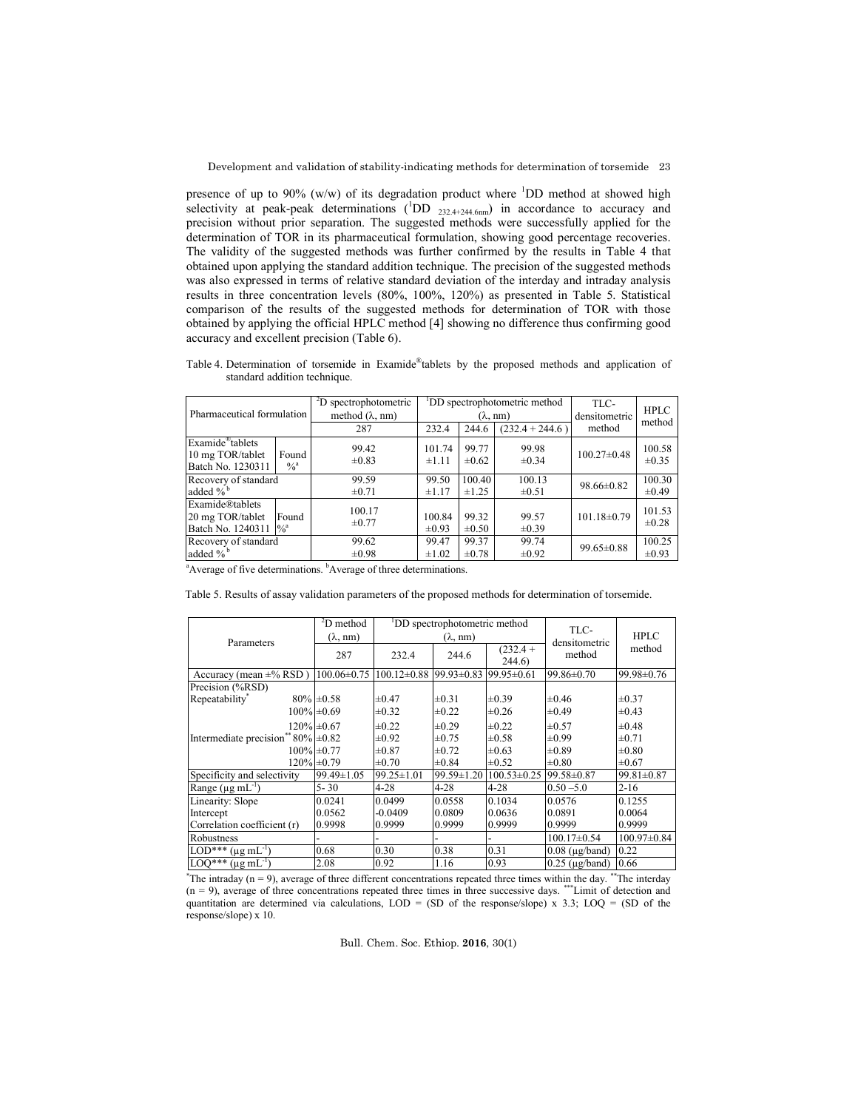presence of up to 90% (w/w) of its degradation product where  ${}^{1}$ DD method at showed high selectivity at peak-peak determinations  $(^1\text{DD}_{232.4+244.6nm})$  in accordance to accuracy and precision without prior separation. The suggested methods were successfully applied for the determination of TOR in its pharmaceutical formulation, showing good percentage recoveries. The validity of the suggested methods was further confirmed by the results in Table 4 that obtained upon applying the standard addition technique. The precision of the suggested methods was also expressed in terms of relative standard deviation of the interday and intraday analysis results in three concentration levels (80%, 100%, 120%) as presented in Table 5. Statistical comparison of the results of the suggested methods for determination of TOR with those obtained by applying the official HPLC method [4] showing no difference thus confirming good accuracy and excellent precision (Table 6).

Table 4. Determination of torsemide in Examide®tablets by the proposed methods and application of standard addition technique.

| Pharmaceutical formulation                                                                                           | <sup>2</sup> D spectrophotometric | DD spectrophotometric method |                     |                     | TLC-              | <b>HPLC</b>          |
|----------------------------------------------------------------------------------------------------------------------|-----------------------------------|------------------------------|---------------------|---------------------|-------------------|----------------------|
|                                                                                                                      | method $(\lambda, nm)$            | $(\lambda, nm)$              |                     |                     | densitometric     | method               |
|                                                                                                                      | 287                               | 232.4                        | 244.6               | $(232.4 + 244.6)$   | method            |                      |
| $\overline{\text{Example}}^{\mathcal{B}}$ tablets<br>10 mg TOR/tablet<br>Found<br>Batch No. 1230311<br>$\frac{0}{a}$ | 99.42<br>$\pm 0.83$               | 101.74<br>±1.11              | 99.77<br>$\pm 0.62$ | 99.98<br>$\pm 0.34$ | $100.27 \pm 0.48$ | 100.58<br>$\pm 0.35$ |
| Recovery of standard                                                                                                 | 99.59                             | 99.50                        | 100.40              | 100.13              | $98.66 \pm 0.82$  | 100.30               |
| added $\%$ <sup>b</sup>                                                                                              | $\pm 0.71$                        | $\pm 1.17$                   | ±1.25               | $\pm 0.51$          |                   | $\pm 0.49$           |
| <b>Examide®tablets</b><br>20 mg TOR/tablet<br>Found<br>Batch No. 1240311  % <sup>a</sup>                             | 100.17<br>$\pm 0.77$              | 100.84<br>$\pm 0.93$         | 99.32<br>$\pm 0.50$ | 99.57<br>$\pm 0.39$ | $101.18 \pm 0.79$ | 101.53<br>$\pm 0.28$ |
| Recovery of standard                                                                                                 | 99.62                             | 99.47                        | 99.37               | 99.74               | $99.65 \pm 0.88$  | 100.25               |
| added $\%$ <sup>b</sup>                                                                                              | $\pm 0.98$                        | $\pm 1.02$                   | $\pm 0.78$          | $\pm 0.92$          |                   | $\pm 0.93$           |

<sup>a</sup>Average of five determinations. <sup>b</sup>Average of three determinations.

Table 5. Results of assay validation parameters of the proposed methods for determination of torsemide.

|                                       | $2D$ method<br>$(\lambda, nm)$ |                   | DD spectrophotometric method<br>$(\lambda, nm)$ |                        | TLC-                    | <b>HPLC</b>       |  |
|---------------------------------------|--------------------------------|-------------------|-------------------------------------------------|------------------------|-------------------------|-------------------|--|
| Parameters                            | 287                            | 232.4             | 244.6                                           | $(232.4 +$<br>244.6    | densitometric<br>method | method            |  |
| Accuracy (mean $\pm\%$ RSD)           | $100.06 \pm 0.75$              | $100.12 \pm 0.88$ | $99.93 \pm 0.83$ 99.95 $\pm 0.61$               |                        | 99.86±0.70              | 99.98±0.76        |  |
| Precision (%RSD)                      |                                |                   |                                                 |                        |                         |                   |  |
| Repeatability*                        | $80\%$ = 0.58                  | $\pm 0.47$        | $\pm 0.31$                                      | $\pm 0.39$             | $\pm 0.46$              | $\pm 0.37$        |  |
|                                       | $100\% \pm 0.69$               | $\pm 0.32$        | $\pm 0.22$                                      | $\pm 0.26$             | $\pm 0.49$              | $\pm 0.43$        |  |
|                                       | $120\% \pm 0.67$               | $\pm 0.22$        | $\pm 0.29$                                      | $\pm 0.22$             | $\pm 0.57$              | $\pm 0.48$        |  |
| Intermediate precision** $80\%$ ±0.82 |                                | $\pm 0.92$        | $\pm 0.75$                                      | $\pm 0.58$             | $\pm 0.99$              | $\pm 0.71$        |  |
|                                       | $100\% \pm 0.77$               | $\pm 0.87$        | $\pm 0.72$                                      | $\pm 0.63$             | $\pm 0.89$              | $\pm 0.80$        |  |
|                                       | $120\% \pm 0.79$               | $\pm 0.70$        | $\pm 0.84$                                      | $\pm 0.52$             | $\pm 0.80$              | $\pm 0.67$        |  |
| Specificity and selectivity           | $99.49 \pm 1.05$               | $99.25 \pm 1.01$  | $99.59 \pm 1.20$                                | 100.53±0.25 99.58±0.87 |                         | $99.81 \pm 0.87$  |  |
| Range $(\mu g \, mL^{-1})$            | $5 - 30$                       | $4 - 28$          | $4 - 28$                                        | $4 - 28$               | $0.50 - 5.0$            | $2 - 16$          |  |
| Linearity: Slope                      | 0.0241                         | 0.0499            | 0.0558                                          | 0.1034                 | 0.0576                  | 0.1255            |  |
| Intercept                             | 0.0562                         | $-0.0409$         | 0.0809                                          | 0.0636                 | 0.0891                  | 0.0064            |  |
| Correlation coefficient (r)           | 0.9998                         | 0.9999            | 0.9999                                          | 0.9999                 | 0.9999                  | 0.9999            |  |
| Robustness                            |                                |                   |                                                 |                        | $100.17\pm0.54$         | $100.97 \pm 0.84$ |  |
| $LOD***$ (µg mL <sup>-1</sup> )       | 0.68                           | 0.30              | 0.38                                            | 0.31                   | $0.08$ ( $\mu$ g/band)  | 0.22              |  |
| $LOQ^{***}$ (µg mL <sup>-1</sup> )    | 2.08                           | 0.92              | 1.16                                            | 0.93                   | $0.25$ ( $\mu$ g/band)  | 0.66              |  |

\* The intraday (n = 9), average of three different concentrations repeated three times within the day. \*\*The interday  $(n = 9)$ , average of three concentrations repeated three times in three successive days. \*\*\*Limit of detection and quantitation are determined via calculations,  $LOD = (SD \text{ of the response/slope}) \times 3.3$ ;  $LOQ = (SD \text{ of the$ response/slope) x 10.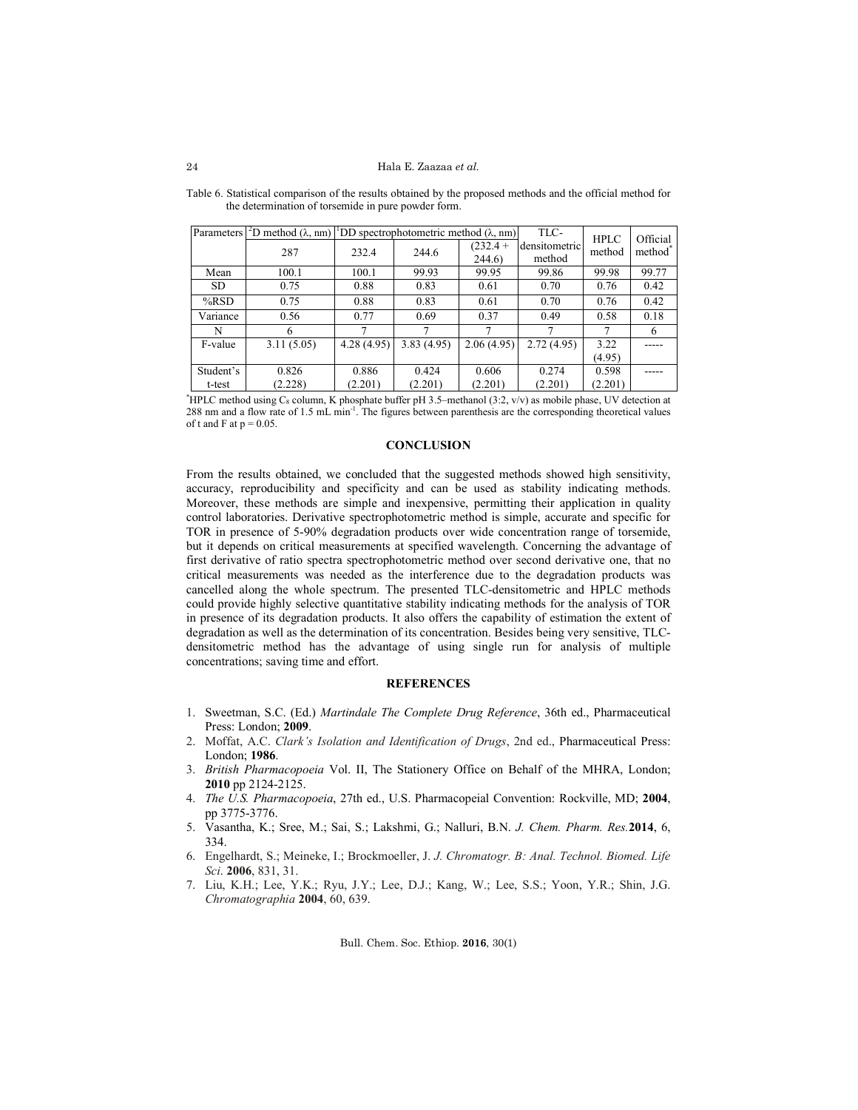| Parameters | $\Delta$ D method ( $\lambda$ , nm)   DD spectrophotometric method ( $\lambda$ , nm) |            |            |                      | TLC-                    | <b>HPLC</b> | Official            |
|------------|--------------------------------------------------------------------------------------|------------|------------|----------------------|-------------------------|-------------|---------------------|
|            | 287                                                                                  | 232.4      | 244.6      | $(232.4 +$<br>244.6) | densitometric<br>method | method      | method <sup>®</sup> |
| Mean       | 100.1                                                                                | 100.1      | 99.93      | 99.95                | 99.86                   | 99.98       | 99.77               |
| <b>SD</b>  | 0.75                                                                                 | 0.88       | 0.83       | 0.61                 | 0.70                    | 0.76        | 0.42                |
| $%$ RSD    | 0.75                                                                                 | 0.88       | 0.83       | 0.61                 | 0.70                    | 0.76        | 0.42                |
| Variance   | 0.56                                                                                 | 0.77       | 0.69       | 0.37                 | 0.49                    | 0.58        | 0.18                |
| N          | 6                                                                                    |            |            |                      |                         |             | 6                   |
| F-value    | 3.11(5.05)                                                                           | 4.28(4.95) | 3.83(4.95) | 2.06(4.95)           | 2.72(4.95)              | 3.22        |                     |
|            |                                                                                      |            |            |                      |                         | (4.95)      |                     |
| Student's  | 0.826                                                                                | 0.886      | 0.424      | 0.606                | 0.274                   | 0.598       |                     |
| t-test     | (2.228)                                                                              | (2.201)    | (2.201)    | (2.201)              | (2.201)                 | (2.201)     |                     |

Table 6. Statistical comparison of the results obtained by the proposed methods and the official method for the determination of torsemide in pure powder form.

\* HPLC method using C8 column, K phosphate buffer pH 3.5–methanol (3:2, v/v) as mobile phase, UV detection at 288 nm and a flow rate of 1.5 mL min-1 . The figures between parenthesis are the corresponding theoretical values of t and F at  $p = 0.05$ .

## **CONCLUSION**

From the results obtained, we concluded that the suggested methods showed high sensitivity, accuracy, reproducibility and specificity and can be used as stability indicating methods. Moreover, these methods are simple and inexpensive, permitting their application in quality control laboratories. Derivative spectrophotometric method is simple, accurate and specific for TOR in presence of 5-90% degradation products over wide concentration range of torsemide, but it depends on critical measurements at specified wavelength. Concerning the advantage of first derivative of ratio spectra spectrophotometric method over second derivative one, that no critical measurements was needed as the interference due to the degradation products was cancelled along the whole spectrum. The presented TLC-densitometric and HPLC methods could provide highly selective quantitative stability indicating methods for the analysis of TOR in presence of its degradation products. It also offers the capability of estimation the extent of degradation as well as the determination of its concentration. Besides being very sensitive, TLCdensitometric method has the advantage of using single run for analysis of multiple concentrations; saving time and effort.

## **REFERENCES**

- 1. Sweetman, S.C. (Ed.) *Martindale The Complete Drug Reference*, 36th ed., Pharmaceutical Press: London; **2009**.
- 2. Moffat, A.C. *Clark's Isolation and Identification of Drugs*, 2nd ed., Pharmaceutical Press: London; **1986**.
- 3. *British Pharmacopoeia* Vol. II, The Stationery Office on Behalf of the MHRA, London; **2010** pp 2124-2125.
- 4. *The U.S. Pharmacopoeia*, 27th ed., U.S. Pharmacopeial Convention: Rockville, MD; **2004**, pp 3775-3776.
- 5. Vasantha, K.; Sree, M.; Sai, S.; Lakshmi, G.; Nalluri, B.N. *J. Chem. Pharm. Res.***2014**, 6, 334.
- 6. Engelhardt, S.; Meineke, I.; Brockmoeller, J. *J. Chromatogr. B: Anal. Technol. Biomed. Life Sci*. **2006**, 831, 31.
- 7. Liu, K.H.; Lee, Y.K.; Ryu, J.Y.; Lee, D.J.; Kang, W.; Lee, S.S.; Yoon, Y.R.; Shin, J.G. *Chromatographia* **2004**, 60, 639.